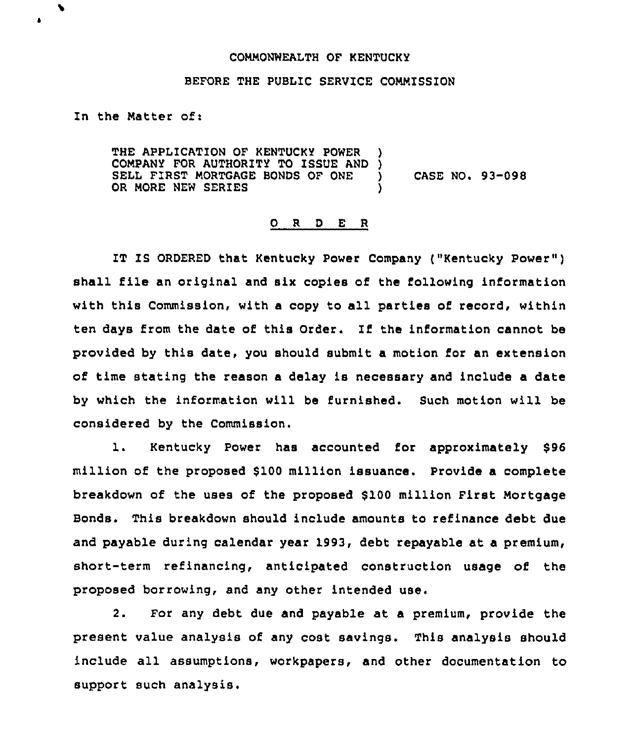## COMMONWEALTH OF KENTUCKY

## BEFORE THE PUBLIC SERVICE COMMISSION

In the Matter of:

THE APPLICATION OF KENTUCKY POWER )<br>COMPANY FOR AUTHORITY TO ISSUE AND ) COMPANY FOR AUTHORITY TO ISSUE AND ) SELL FIRST MORTGAGE BONDS OF ONE ) CASE NO. 93-098 OR MORE NEW SERIES

## 0 <sup>R</sup> <sup>D</sup> E <sup>R</sup>

IT IS ORDERED that Kentucky Power Company ("Kentucky Power" ) shall file an original and six copies of the following information with this Commission, with <sup>a</sup> copy to all parties of record, within ten days from the date of this Order. If the information cannot be provided by this date, you should submit a motion for an extension of time stating the reason a delay is necessary and include a date by which the information will be furnished. Such motion will be considered by the Commission.

1. Kentucky Power has accounted for approximately \$96 million of the proposed \$100 million issuance. Provide a complete breakdown of the uses of the proposed \$100 million First Mortgage Bonds. This breakdown should include amounts to refinance debt due and payable during calendar year 1993, debt repayable at a premium, short-term refinancing, anticipated construction usage of the proposed borrowing, and any other intended use.

2. For any debt due and payable at a premium, provide the present value analysis of any cost savings. This analysis should include all assumptions, workpapers, and other documentation to support such analysis.